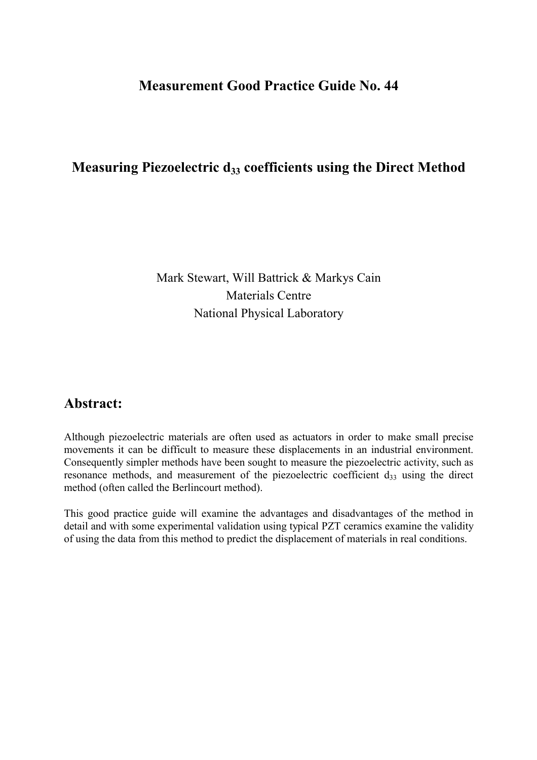### **Measurement Good Practice Guide No. 44**

### **Measuring Piezoelectric d33 coefficients using the Direct Method**

### Mark Stewart, Will Battrick & Markys Cain Materials Centre National Physical Laboratory

### **Abstract:**

Although piezoelectric materials are often used as actuators in order to make small precise movements it can be difficult to measure these displacements in an industrial environment. Consequently simpler methods have been sought to measure the piezoelectric activity, such as resonance methods, and measurement of the piezoelectric coefficient  $d_{33}$  using the direct method (often called the Berlincourt method).

This good practice guide will examine the advantages and disadvantages of the method in detail and with some experimental validation using typical PZT ceramics examine the validity of using the data from this method to predict the displacement of materials in real conditions.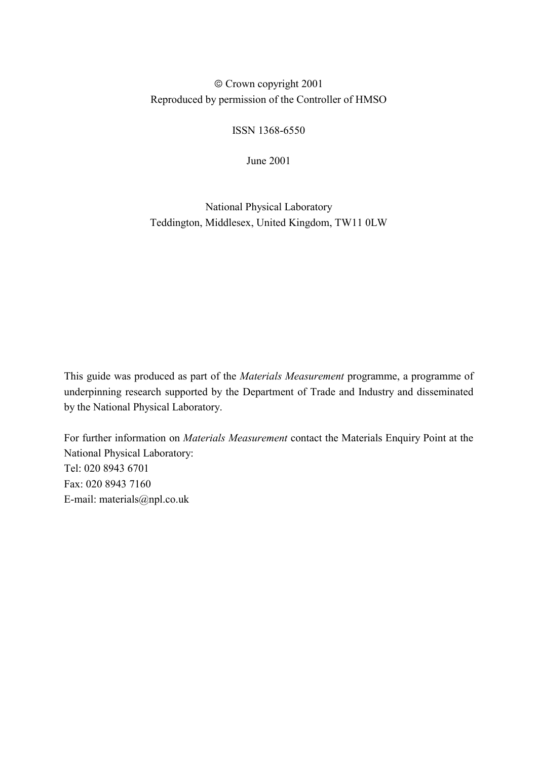#### Crown copyright 2001 Reproduced by permission of the Controller of HMSO

ISSN 1368-6550

June 2001

National Physical Laboratory Teddington, Middlesex, United Kingdom, TW11 0LW

This guide was produced as part of the *Materials Measurement* programme, a programme of underpinning research supported by the Department of Trade and Industry and disseminated by the National Physical Laboratory.

For further information on *Materials Measurement* contact the Materials Enquiry Point at the National Physical Laboratory: Tel: 020 8943 6701 Fax: 020 8943 7160 E-mail: materials@npl.co.uk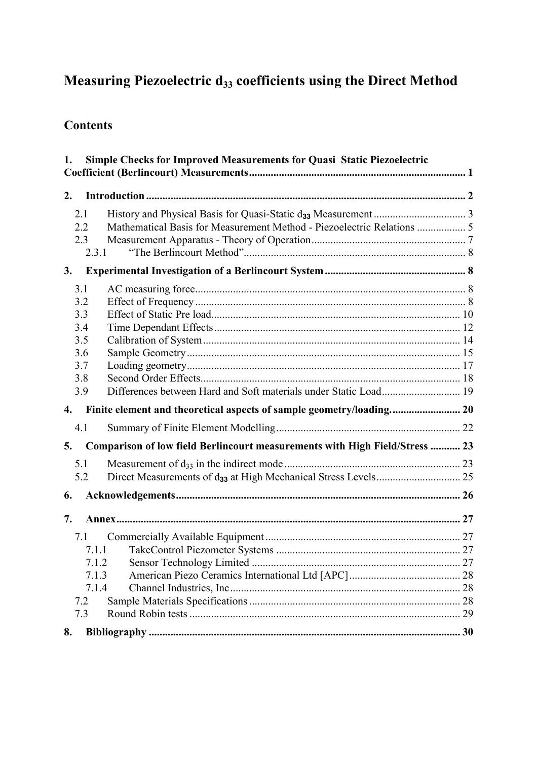# **Measuring Piezoelectric d33 coefficients using the Direct Method**

## **Contents**

| Simple Checks for Improved Measurements for Quasi Static Piezoelectric<br>1.      |  |
|-----------------------------------------------------------------------------------|--|
| 2.                                                                                |  |
| 2.1                                                                               |  |
| 2.2                                                                               |  |
| 2.3                                                                               |  |
| 2.3.1                                                                             |  |
| 3.                                                                                |  |
| 3.1                                                                               |  |
| 3.2                                                                               |  |
| 3.3                                                                               |  |
| 3.4                                                                               |  |
| 3.5                                                                               |  |
| 3.6                                                                               |  |
| 3.7                                                                               |  |
| 3.8                                                                               |  |
| Differences between Hard and Soft materials under Static Load 19<br>3.9           |  |
| 4.                                                                                |  |
| 4.1                                                                               |  |
| Comparison of low field Berlincourt measurements with High Field/Stress  23<br>5. |  |
| 5.1                                                                               |  |
| 5.2                                                                               |  |
| 6.                                                                                |  |
| 7.                                                                                |  |
|                                                                                   |  |
| 7.1                                                                               |  |
| 7.1.1                                                                             |  |
| 7.1.2                                                                             |  |
| 7.1.3<br>7.1.4                                                                    |  |
|                                                                                   |  |
|                                                                                   |  |
| 7.2<br>7.3                                                                        |  |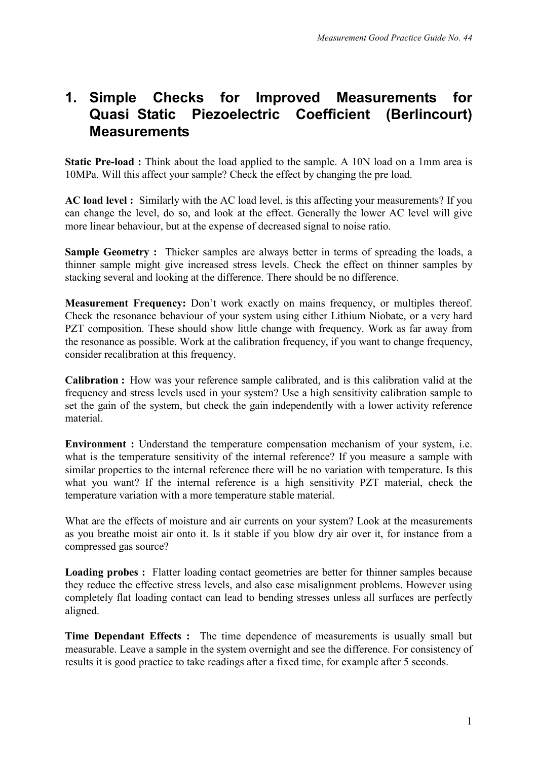## <span id="page-4-0"></span>**1. Simple Checks for Improved Measurements for Quasi Static Piezoelectric Coefficient (Berlincourt) Measurements**

**Static Pre-load :** Think about the load applied to the sample. A 10N load on a 1mm area is 10MPa. Will this affect your sample? Check the effect by changing the pre load.

**AC load level :** Similarly with the AC load level, is this affecting your measurements? If you can change the level, do so, and look at the effect. Generally the lower AC level will give more linear behaviour, but at the expense of decreased signal to noise ratio.

**Sample Geometry :** Thicker samples are always better in terms of spreading the loads, a thinner sample might give increased stress levels. Check the effect on thinner samples by stacking several and looking at the difference. There should be no difference.

**Measurement Frequency:** Don't work exactly on mains frequency, or multiples thereof. Check the resonance behaviour of your system using either Lithium Niobate, or a very hard PZT composition. These should show little change with frequency. Work as far away from the resonance as possible. Work at the calibration frequency, if you want to change frequency, consider recalibration at this frequency.

**Calibration :** How was your reference sample calibrated, and is this calibration valid at the frequency and stress levels used in your system? Use a high sensitivity calibration sample to set the gain of the system, but check the gain independently with a lower activity reference material.

**Environment :** Understand the temperature compensation mechanism of your system, i.e. what is the temperature sensitivity of the internal reference? If you measure a sample with similar properties to the internal reference there will be no variation with temperature. Is this what you want? If the internal reference is a high sensitivity PZT material, check the temperature variation with a more temperature stable material.

What are the effects of moisture and air currents on your system? Look at the measurements as you breathe moist air onto it. Is it stable if you blow dry air over it, for instance from a compressed gas source?

Loading probes : Flatter loading contact geometries are better for thinner samples because they reduce the effective stress levels, and also ease misalignment problems. However using completely flat loading contact can lead to bending stresses unless all surfaces are perfectly aligned.

**Time Dependant Effects :** The time dependence of measurements is usually small but measurable. Leave a sample in the system overnight and see the difference. For consistency of results it is good practice to take readings after a fixed time, for example after 5 seconds.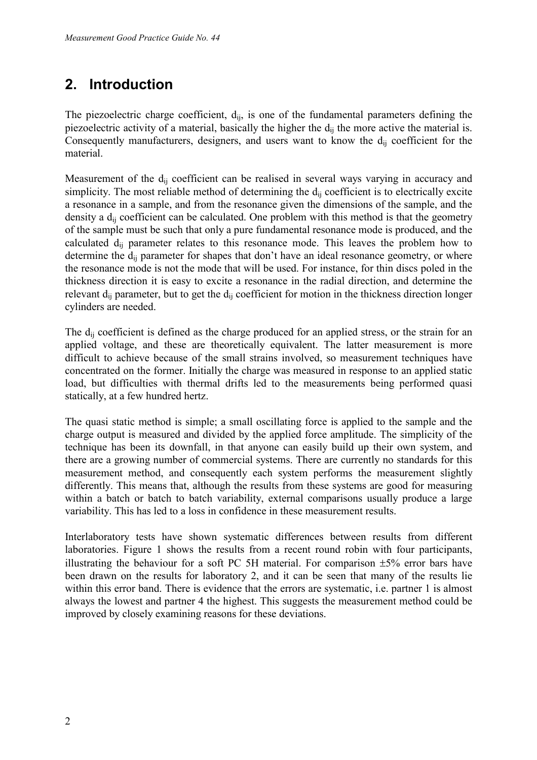## <span id="page-5-0"></span>**2. Introduction**

The piezoelectric charge coefficient,  $d_{ii}$ , is one of the fundamental parameters defining the piezoelectric activity of a material, basically the higher the  $d_{ij}$  the more active the material is. Consequently manufacturers, designers, and users want to know the  $d_{ii}$  coefficient for the material.

Measurement of the d<sub>ij</sub> coefficient can be realised in several ways varying in accuracy and simplicity. The most reliable method of determining the  $d_{ii}$  coefficient is to electrically excite a resonance in a sample, and from the resonance given the dimensions of the sample, and the density a  $d_{ii}$  coefficient can be calculated. One problem with this method is that the geometry of the sample must be such that only a pure fundamental resonance mode is produced, and the calculated dij parameter relates to this resonance mode. This leaves the problem how to determine the d<sub>ij</sub> parameter for shapes that don't have an ideal resonance geometry, or where the resonance mode is not the mode that will be used. For instance, for thin discs poled in the thickness direction it is easy to excite a resonance in the radial direction, and determine the relevant  $d_{ii}$  parameter, but to get the  $d_{ii}$  coefficient for motion in the thickness direction longer cylinders are needed.

The d<sub>ij</sub> coefficient is defined as the charge produced for an applied stress, or the strain for an applied voltage, and these are theoretically equivalent. The latter measurement is more difficult to achieve because of the small strains involved, so measurement techniques have concentrated on the former. Initially the charge was measured in response to an applied static load, but difficulties with thermal drifts led to the measurements being performed quasi statically, at a few hundred hertz.

The quasi static method is simple; a small oscillating force is applied to the sample and the charge output is measured and divided by the applied force amplitude. The simplicity of the technique has been its downfall, in that anyone can easily build up their own system, and there are a growing number of commercial systems. There are currently no standards for this measurement method, and consequently each system performs the measurement slightly differently. This means that, although the results from these systems are good for measuring within a batch or batch to batch variability, external comparisons usually produce a large variability. This has led to a loss in confidence in these measurement results.

Interlaboratory tests have shown systematic differences between results from different laboratories. [Figure 1](#page-6-1) shows the results from a recent round robin with four participants, illustrating the behaviour for a soft PC 5H material. For comparison  $\pm 5\%$  error bars have been drawn on the results for laboratory 2, and it can be seen that many of the results lie within this error band. There is evidence that the errors are systematic, i.e. partner 1 is almost always the lowest and partner 4 the highest. This suggests the measurement method could be improved by closely examining reasons for these deviations.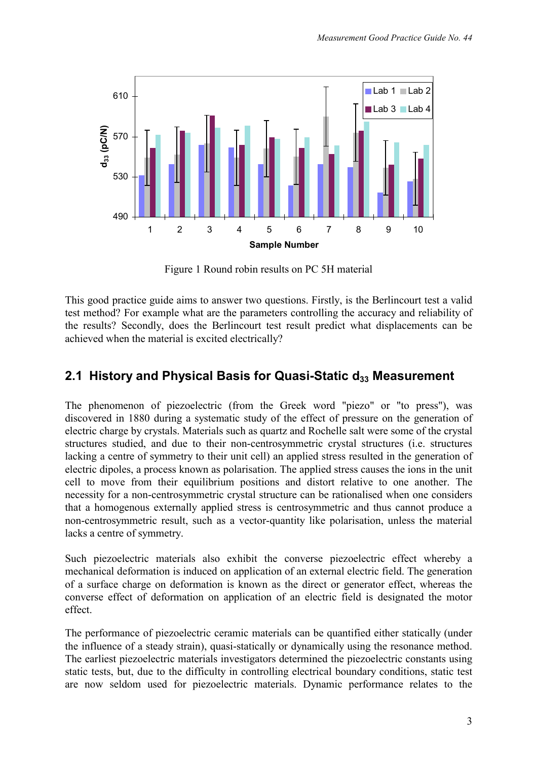<span id="page-6-1"></span><span id="page-6-0"></span>

Figure 1 Round robin results on PC 5H material

This good practice guide aims to answer two questions. Firstly, is the Berlincourt test a valid test method? For example what are the parameters controlling the accuracy and reliability of the results? Secondly, does the Berlincourt test result predict what displacements can be achieved when the material is excited electrically?

## **2.1 History and Physical Basis for Quasi-Static d<sub>33</sub> Measurement**

The phenomenon of piezoelectric (from the Greek word "piezo" or "to press"), was discovered in 1880 during a systematic study of the effect of pressure on the generation of electric charge by crystals. Materials such as quartz and Rochelle salt were some of the crystal structures studied, and due to their non-centrosymmetric crystal structures (i.e. structures lacking a centre of symmetry to their unit cell) an applied stress resulted in the generation of electric dipoles, a process known as polarisation. The applied stress causes the ions in the unit cell to move from their equilibrium positions and distort relative to one another. The necessity for a non-centrosymmetric crystal structure can be rationalised when one considers that a homogenous externally applied stress is centrosymmetric and thus cannot produce a non-centrosymmetric result, such as a vector-quantity like polarisation, unless the material lacks a centre of symmetry.

Such piezoelectric materials also exhibit the converse piezoelectric effect whereby a mechanical deformation is induced on application of an external electric field. The generation of a surface charge on deformation is known as the direct or generator effect, whereas the converse effect of deformation on application of an electric field is designated the motor effect.

The performance of piezoelectric ceramic materials can be quantified either statically (under the influence of a steady strain), quasi-statically or dynamically using the resonance method. The earliest piezoelectric materials investigators determined the piezoelectric constants using static tests, but, due to the difficulty in controlling electrical boundary conditions, static test are now seldom used for piezoelectric materials. Dynamic performance relates to the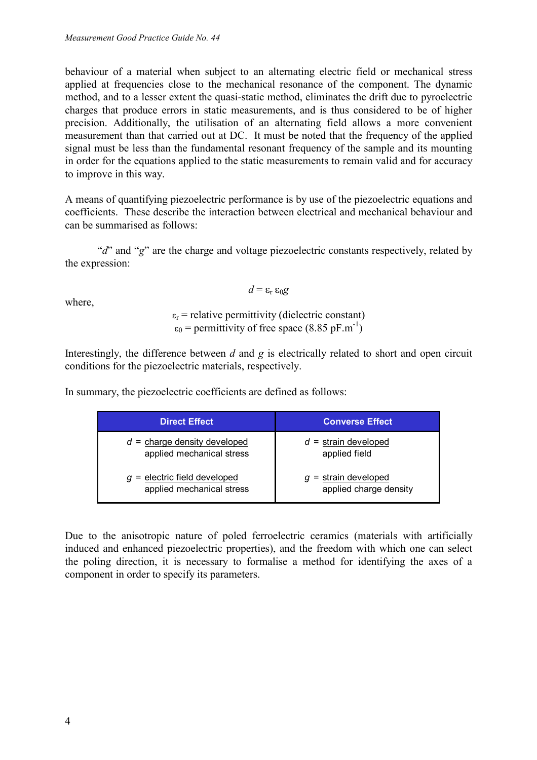behaviour of a material when subject to an alternating electric field or mechanical stress applied at frequencies close to the mechanical resonance of the component. The dynamic method, and to a lesser extent the quasi-static method, eliminates the drift due to pyroelectric charges that produce errors in static measurements, and is thus considered to be of higher precision. Additionally, the utilisation of an alternating field allows a more convenient measurement than that carried out at DC. It must be noted that the frequency of the applied signal must be less than the fundamental resonant frequency of the sample and its mounting in order for the equations applied to the static measurements to remain valid and for accuracy to improve in this way.

A means of quantifying piezoelectric performance is by use of the piezoelectric equations and coefficients. These describe the interaction between electrical and mechanical behaviour and can be summarised as follows:

"*d*" and "*g*" are the charge and voltage piezoelectric constants respectively, related by the expression:

where,

$$
d=\varepsilon_{\rm r}\,\varepsilon_0 g
$$

 $\varepsilon_r$  = relative permittivity (dielectric constant)

 $\varepsilon_0$  = permittivity of free space (8.85 pF.m<sup>-1</sup>)

Interestingly, the difference between *d* and *g* is electrically related to short and open circuit conditions for the piezoelectric materials, respectively.

In summary, the piezoelectric coefficients are defined as follows:

| <b>Direct Effect</b>           | <b>Converse Effect</b>               |
|--------------------------------|--------------------------------------|
| $d =$ charge density developed | $d =$ strain developed               |
| applied mechanical stress      | applied field                        |
| $g =$ electric field developed | $g = \frac{\text{strain}}{\text{d}}$ |
| applied mechanical stress      | applied charge density               |

Due to the anisotropic nature of poled ferroelectric ceramics (materials with artificially induced and enhanced piezoelectric properties), and the freedom with which one can select the poling direction, it is necessary to formalise a method for identifying the axes of a component in order to specify its parameters.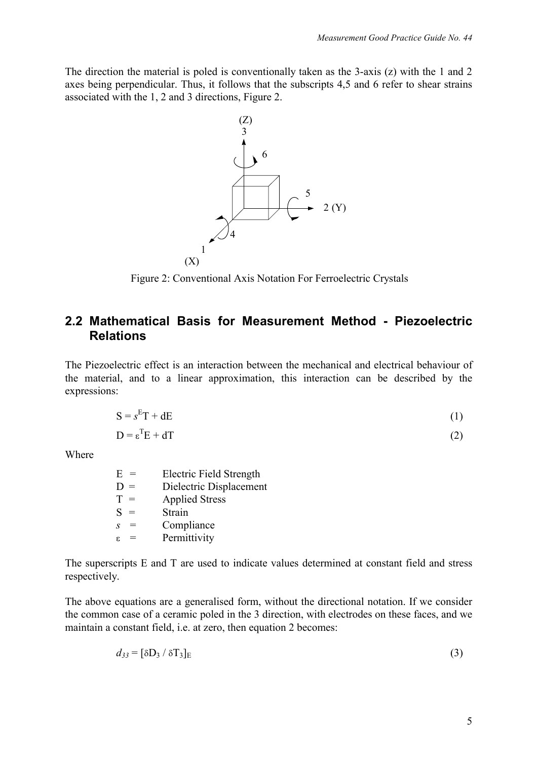<span id="page-8-0"></span>The direction the material is poled is conventionally taken as the 3-axis (z) with the 1 and 2 axes being perpendicular. Thus, it follows that the subscripts 4,5 and 6 refer to shear strains associated with the 1, 2 and 3 directions, [Figure 2.](#page-8-1)

<span id="page-8-1"></span>

Figure 2: Conventional Axis Notation For Ferroelectric Crystals

#### **2.2 Mathematical Basis for Measurement Method - Piezoelectric Relations**

The Piezoelectric effect is an interaction between the mechanical and electrical behaviour of the material, and to a linear approximation, this interaction can be described by the expressions:

$$
S = sET + dE
$$
 (1)

$$
D = \varepsilon^{T} E + dT
$$
 (2)

Where

| $E =$                | Electric Field Strength |
|----------------------|-------------------------|
| $D =$                | Dielectric Displacement |
| $T =$                | <b>Applied Stress</b>   |
| $S =$                | Strain                  |
| $=$<br>$\mathcal{S}$ | Compliance              |
| ε.                   | Permittivity            |

The superscripts E and T are used to indicate values determined at constant field and stress respectively.

The above equations are a generalised form, without the directional notation. If we consider the common case of a ceramic poled in the 3 direction, with electrodes on these faces, and we maintain a constant field, i.e. at zero, then equation 2 becomes:

$$
d_{33} = [\delta D_3 / \delta T_3]_E \tag{3}
$$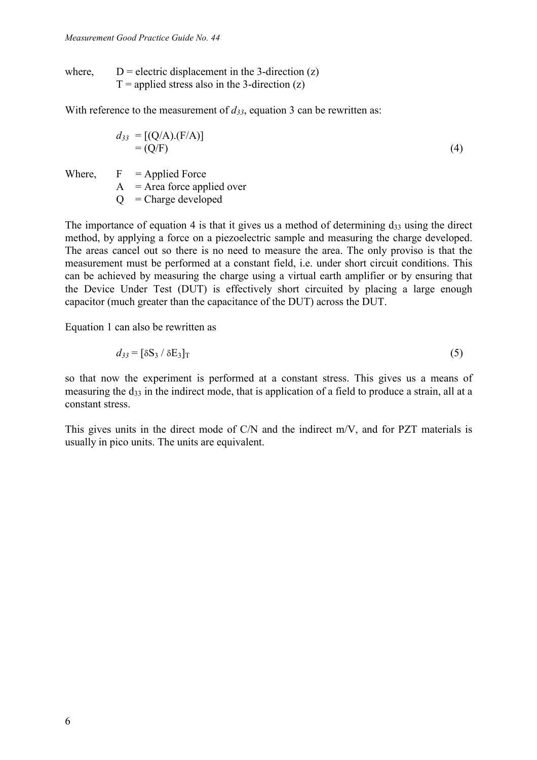where,  $D =$  electric displacement in the 3-direction (z)  $T =$  applied stress also in the 3-direction (z)

With reference to the measurement of  $d_{33}$ , equation 3 can be rewritten as:

$$
d_{33} = [(\mathbf{Q}/\mathbf{A}).(\mathbf{F}/\mathbf{A})]
$$
  
= (\mathbf{Q}/\mathbf{F}) \t\t(4)

Where,  $F = \text{Applied Force}$ 

 $A = Area$  force applied over

 $Q =$ Charge developed

The importance of equation 4 is that it gives us a method of determining  $d_{33}$  using the direct method, by applying a force on a piezoelectric sample and measuring the charge developed. The areas cancel out so there is no need to measure the area. The only proviso is that the measurement must be performed at a constant field, i.e. under short circuit conditions. This can be achieved by measuring the charge using a virtual earth amplifier or by ensuring that the Device Under Test (DUT) is effectively short circuited by placing a large enough capacitor (much greater than the capacitance of the DUT) across the DUT.

Equation 1 can also be rewritten as

$$
d_{33} = \left[ \delta S_3 / \delta E_3 \right]_T \tag{5}
$$

so that now the experiment is performed at a constant stress. This gives us a means of measuring the  $d_{33}$  in the indirect mode, that is application of a field to produce a strain, all at a constant stress.

This gives units in the direct mode of C/N and the indirect m/V, and for PZT materials is usually in pico units. The units are equivalent.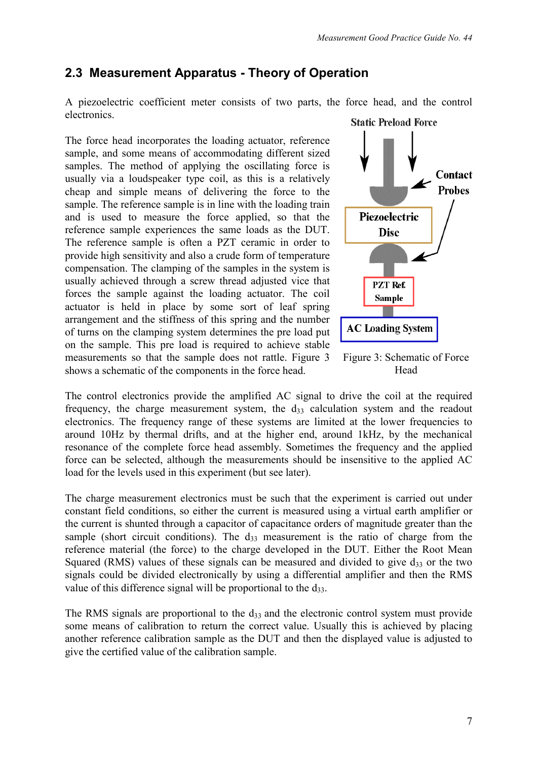### <span id="page-10-0"></span>**2.3 Measurement Apparatus - Theory of Operation**

A piezoelectric coefficient meter consists of two parts, the force head, and the control electronics.

The force head incorporates the loading actuator, reference sample, and some means of accommodating different sized samples. The method of applying the oscillating force is usually via a loudspeaker type coil, as this is a relatively cheap and simple means of delivering the force to the sample. The reference sample is in line with the loading train and is used to measure the force applied, so that the reference sample experiences the same loads as the DUT. The reference sample is often a PZT ceramic in order to provide high sensitivity and also a crude form of temperature compensation. The clamping of the samples in the system is usually achieved through a screw thread adjusted vice that forces the sample against the loading actuator. The coil actuator is held in place by some sort of leaf spring arrangement and the stiffness of this spring and the number of turns on the clamping system determines the pre load put on the sample. This pre load is required to achieve stable measurements so that the sample does not rattle. Fi[gure 3](#page-10-1)  shows a schematic of the components in the force head.

<span id="page-10-1"></span>

Figure 3: Schematic of Force Head

The control electronics provide the amplified AC signal to drive the coil at the required frequency, the charge measurement system, the  $d_{33}$  calculation system and the readout electronics. The frequency range of these systems are limited at the lower frequencies to around 10Hz by thermal drifts, and at the higher end, around 1kHz, by the mechanical resonance of the complete force head assembly. Sometimes the frequency and the applied force can be selected, although the measurements should be insensitive to the applied AC load for the levels used in this experiment (but see later).

The charge measurement electronics must be such that the experiment is carried out under constant field conditions, so either the current is measured using a virtual earth amplifier or the current is shunted through a capacitor of capacitance orders of magnitude greater than the sample (short circuit conditions). The  $d_{33}$  measurement is the ratio of charge from the reference material (the force) to the charge developed in the DUT. Either the Root Mean Squared (RMS) values of these signals can be measured and divided to give  $d_{33}$  or the two signals could be divided electronically by using a differential amplifier and then the RMS value of this difference signal will be proportional to the  $d_{33}$ .

The RMS signals are proportional to the  $d_{33}$  and the electronic control system must provide some means of calibration to return the correct value. Usually this is achieved by placing another reference calibration sample as the DUT and then the displayed value is adjusted to give the certified value of the calibration sample.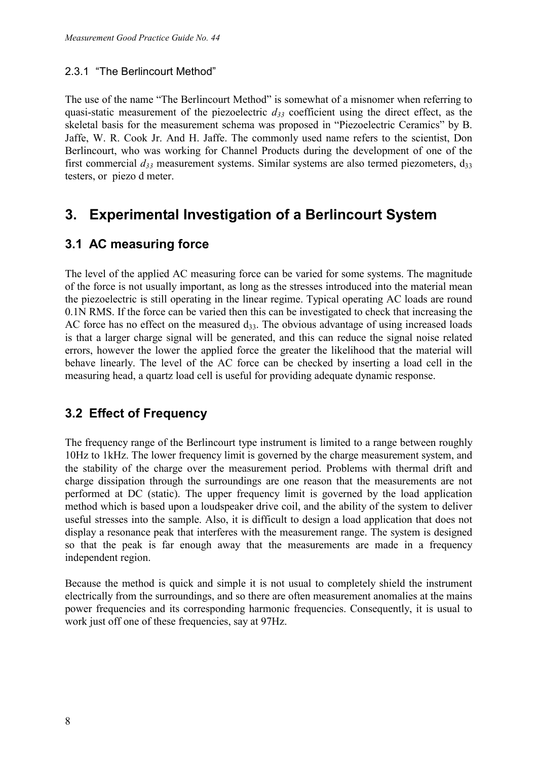#### <span id="page-11-0"></span>2.3.1 "The Berlincourt Method"

The use of the name "The Berlincourt Method" is somewhat of a misnomer when referring to quasi-static measurement of the piezoelectric  $d_{33}$  coefficient using the direct effect, as the skeletal basis for the measurement schema was proposed in "Piezoelectric Ceramics" by B. Jaffe, W. R. Cook Jr. And H. Jaffe. The commonly used name refers to the scientist, Don Berlincourt, who was working for Channel Products during the development of one of the first commercial  $d_{33}$  measurement systems. Similar systems are also termed piezometers,  $d_{33}$ testers, or piezo d meter.

## **3. Experimental Investigation of a Berlincourt System**

#### **3.1 AC measuring force**

The level of the applied AC measuring force can be varied for some systems. The magnitude of the force is not usually important, as long as the stresses introduced into the material mean the piezoelectric is still operating in the linear regime. Typical operating AC loads are round 0.1N RMS. If the force can be varied then this can be investigated to check that increasing the AC force has no effect on the measured  $d_{33}$ . The obvious advantage of using increased loads is that a larger charge signal will be generated, and this can reduce the signal noise related errors, however the lower the applied force the greater the likelihood that the material will behave linearly. The level of the AC force can be checked by inserting a load cell in the measuring head, a quartz load cell is useful for providing adequate dynamic response.

### **3.2 Effect of Frequency**

The frequency range of the Berlincourt type instrument is limited to a range between roughly 10Hz to 1kHz. The lower frequency limit is governed by the charge measurement system, and the stability of the charge over the measurement period. Problems with thermal drift and charge dissipation through the surroundings are one reason that the measurements are not performed at DC (static). The upper frequency limit is governed by the load application method which is based upon a loudspeaker drive coil, and the ability of the system to deliver useful stresses into the sample. Also, it is difficult to design a load application that does not display a resonance peak that interferes with the measurement range. The system is designed so that the peak is far enough away that the measurements are made in a frequency independent region.

Because the method is quick and simple it is not usual to completely shield the instrument electrically from the surroundings, and so there are often measurement anomalies at the mains power frequencies and its corresponding harmonic frequencies. Consequently, it is usual to work just off one of these frequencies, say at 97Hz.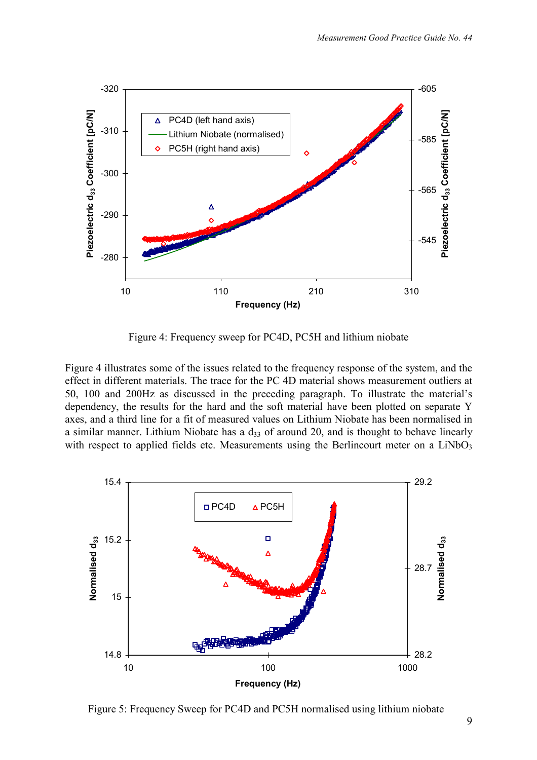<span id="page-12-0"></span>

Figure 4: Frequency sweep for PC4D, PC5H and lithium niobate

[Figure 4](#page-12-0) illustrates some of the issues related to the frequency response of the system, and the effect in different materials. The trace for the PC 4D material shows measurement outliers at 50, 100 and 200Hz as discussed in the preceding paragraph. To illustrate the material's dependency, the results for the hard and the soft material have been plotted on separate Y axes, and a third line for a fit of measured values on Lithium Niobate has been normalised in a similar manner. Lithium Niobate has a  $d_{33}$  of around 20, and is thought to behave linearly with respect to applied fields etc. Measurements using the Berlincourt meter on a  $LiNbO<sub>3</sub>$ 

<span id="page-12-1"></span>

Figure 5: Frequency Sweep for PC4D and PC5H normalised using lithium niobate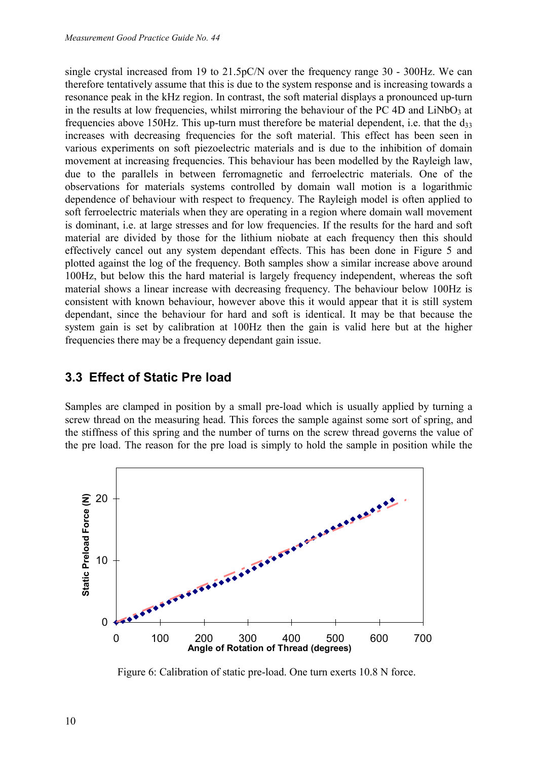<span id="page-13-0"></span>single crystal increased from 19 to 21.5pC/N over the frequency range 30 - 300Hz. We can therefore tentatively assume that this is due to the system response and is increasing towards a resonance peak in the kHz region. In contrast, the soft material displays a pronounced up-turn in the results at low frequencies, whilst mirroring the behaviour of the PC 4D and  $LiNbO<sub>3</sub>$  at frequencies above 150Hz. This up-turn must therefore be material dependent, i.e. that the  $d_{33}$ increases with decreasing frequencies for the soft material. This effect has been seen in various experiments on soft piezoelectric materials and is due to the inhibition of domain movement at increasing frequencies. This behaviour has been modelled by the Rayleigh law, due to the parallels in between ferromagnetic and ferroelectric materials. One of the observations for materials systems controlled by domain wall motion is a logarithmic dependence of behaviour with respect to frequency. The Rayleigh model is often applied to soft ferroelectric materials when they are operating in a region where domain wall movement is dominant, i.e. at large stresses and for low frequencies. If the results for the hard and soft material are divided by those for the lithium niobate at each frequency then this should effectively cancel out any system dependant effects. This has been done in [Figure 5](#page-12-1) and plotted against the log of the frequency. Both samples show a similar increase above around 100Hz, but below this the hard material is largely frequency independent, whereas the soft material shows a linear increase with decreasing frequency. The behaviour below 100Hz is consistent with known behaviour, however above this it would appear that it is still system dependant, since the behaviour for hard and soft is identical. It may be that because the system gain is set by calibration at 100Hz then the gain is valid here but at the higher frequencies there may be a frequency dependant gain issue.

#### **3.3 Effect of Static Pre load**

Samples are clamped in position by a small pre-load which is usually applied by turning a screw thread on the measuring head. This forces the sample against some sort of spring, and the stiffness of this spring and the number of turns on the screw thread governs the value of the pre load. The reason for the pre load is simply to hold the sample in position while the

<span id="page-13-1"></span>

Figure 6: Calibration of static pre-load. One turn exerts 10.8 N force.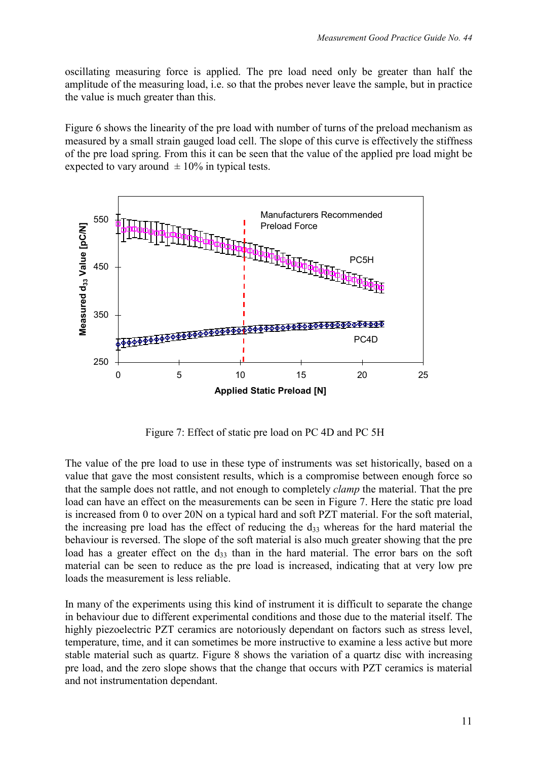oscillating measuring force is applied. The pre load need only be greater than half the amplitude of the measuring load, i.e. so that the probes never leave the sample, but in practice the value is much greater than this.

[Figure 6](#page-13-1) shows the linearity of the pre load with number of turns of the preload mechanism as measured by a small strain gauged load cell. The slope of this curve is effectively the stiffness of the pre load spring. From this it can be seen that the value of the applied pre load might be expected to vary around  $\pm 10\%$  in typical tests.

<span id="page-14-0"></span>

Figure 7: Effect of static pre load on PC 4D and PC 5H

The value of the pre load to use in these type of instruments was set historically, based on a value that gave the most consistent results, which is a compromise between enough force so that the sample does not rattle, and not enough to completely *clamp* the material. That the pre load can have an effect on the measurements can be seen in [Figure 7.](#page-14-0) Here the static pre load is increased from 0 to over 20N on a typical hard and soft PZT material. For the soft material, the increasing pre load has the effect of reducing the  $d_{33}$  whereas for the hard material the behaviour is reversed. The slope of the soft material is also much greater showing that the pre load has a greater effect on the  $d_{33}$  than in the hard material. The error bars on the soft material can be seen to reduce as the pre load is increased, indicating that at very low pre loads the measurement is less reliable.

In many of the experiments using this kind of instrument it is difficult to separate the change in behaviour due to different experimental conditions and those due to the material itself. The highly piezoelectric PZT ceramics are notoriously dependant on factors such as stress level, temperature, time, and it can sometimes be more instructive to examine a less active but more stable material such as quartz. [Figure 8](#page-15-1) shows the variation of a quartz disc with increasing pre load, and the zero slope shows that the change that occurs with PZT ceramics is material and not instrumentation dependant.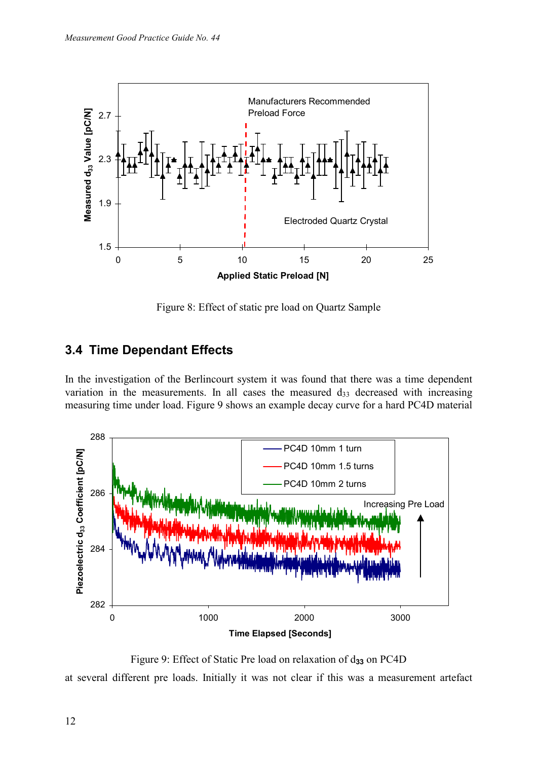<span id="page-15-1"></span><span id="page-15-0"></span>

Figure 8: Effect of static pre load on Quartz Sample

#### **3.4 Time Dependant Effects**

In the investigation of the Berlincourt system it was found that there was a time dependent variation in the measurements. In all cases the measured  $d_{33}$  decreased with increasing measuring time under load. [Figure 9](#page-15-2) shows an example decay curve for a hard PC4D material

<span id="page-15-2"></span>

at several different pre loads. Initially it was not clear if this was a measurement artefact Figure 9: Effect of Static Pre load on relaxation of d<sub>33</sub> on PC4D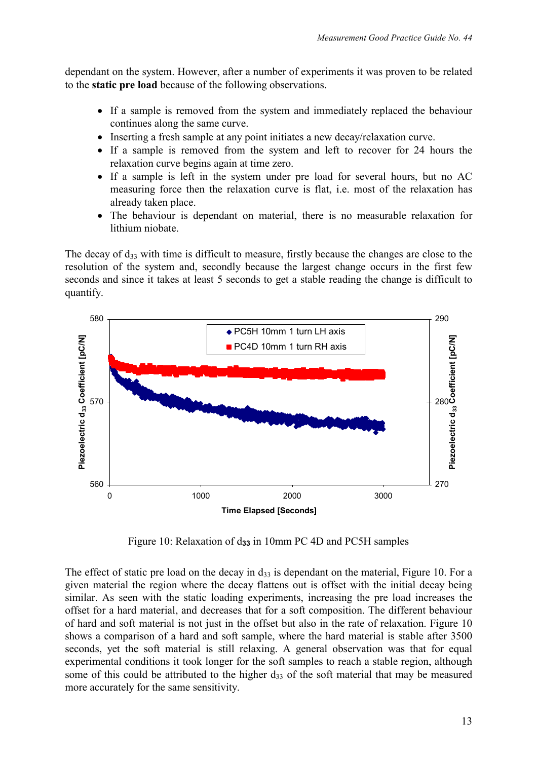dependant on the system. However, after a number of experiments it was proven to be related to the **static pre load** because of the following observations.

- If a sample is removed from the system and immediately replaced the behaviour continues along the same curve.
- Inserting a fresh sample at any point initiates a new decay/relaxation curve.
- If a sample is removed from the system and left to recover for 24 hours the relaxation curve begins again at time zero.
- If a sample is left in the system under pre load for several hours, but no AC measuring force then the relaxation curve is flat, i.e. most of the relaxation has already taken place.
- The behaviour is dependant on material, there is no measurable relaxation for lithium niobate.

The decay of  $d_{33}$  with time is difficult to measure, firstly because the changes are close to the resolution of the system and, secondly because the largest change occurs in the first few seconds and since it takes at least 5 seconds to get a stable reading the change is difficult to quantify.

<span id="page-16-0"></span>

Figure 10: Relaxation of d**33** in 10mm PC 4D and PC5H samples

The effect of static pre load on the decay in  $d_{33}$  is dependant on the material, [Figure 10.](#page-16-0) For a given material the region where the decay flattens out is offset with the initial decay being similar. As seen with the static loading experiments, increasing the pre load increases the offset for a hard material, and decreases that for a soft composition. The different behaviour of hard and soft material is not just in the offset but also in the rate of relaxation. [Figure 10](#page-16-0)  shows a comparison of a hard and soft sample, where the hard material is stable after 3500 seconds, yet the soft material is still relaxing. A general observation was that for equal experimental conditions it took longer for the soft samples to reach a stable region, although some of this could be attributed to the higher  $d_{33}$  of the soft material that may be measured more accurately for the same sensitivity.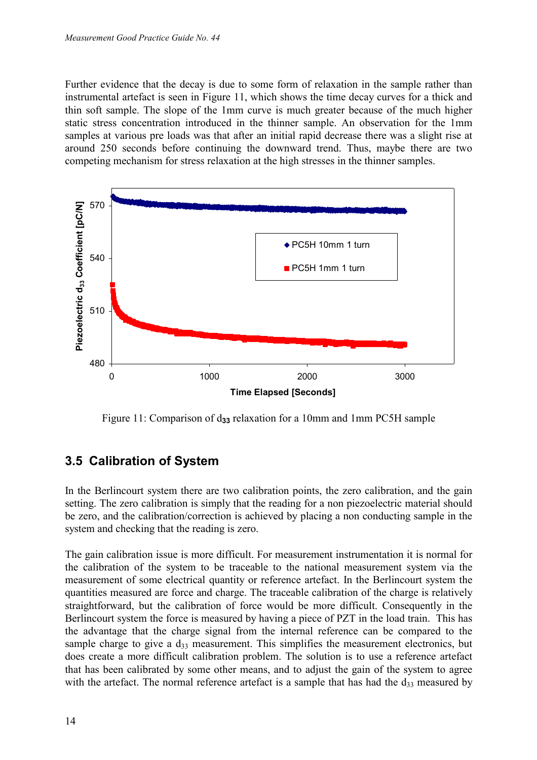<span id="page-17-0"></span>Further evidence that the decay is due to some form of relaxation in the sample rather than instrumental artefact is seen in [Figure 11,](#page-17-1) which shows the time decay curves for a thick and thin soft sample. The slope of the 1mm curve is much greater because of the much higher static stress concentration introduced in the thinner sample. An observation for the 1mm samples at various pre loads was that after an initial rapid decrease there was a slight rise at around 250 seconds before continuing the downward trend. Thus, maybe there are two competing mechanism for stress relaxation at the high stresses in the thinner samples.

<span id="page-17-1"></span>

Figure 11: Comparison of d**33** relaxation for a 10mm and 1mm PC5H sample

### **3.5 Calibration of System**

In the Berlincourt system there are two calibration points, the zero calibration, and the gain setting. The zero calibration is simply that the reading for a non piezoelectric material should be zero, and the calibration/correction is achieved by placing a non conducting sample in the system and checking that the reading is zero.

The gain calibration issue is more difficult. For measurement instrumentation it is normal for the calibration of the system to be traceable to the national measurement system via the measurement of some electrical quantity or reference artefact. In the Berlincourt system the quantities measured are force and charge. The traceable calibration of the charge is relatively straightforward, but the calibration of force would be more difficult. Consequently in the Berlincourt system the force is measured by having a piece of PZT in the load train. This has the advantage that the charge signal from the internal reference can be compared to the sample charge to give a  $d_{33}$  measurement. This simplifies the measurement electronics, but does create a more difficult calibration problem. The solution is to use a reference artefact that has been calibrated by some other means, and to adjust the gain of the system to agree with the artefact. The normal reference artefact is a sample that has had the  $d_{33}$  measured by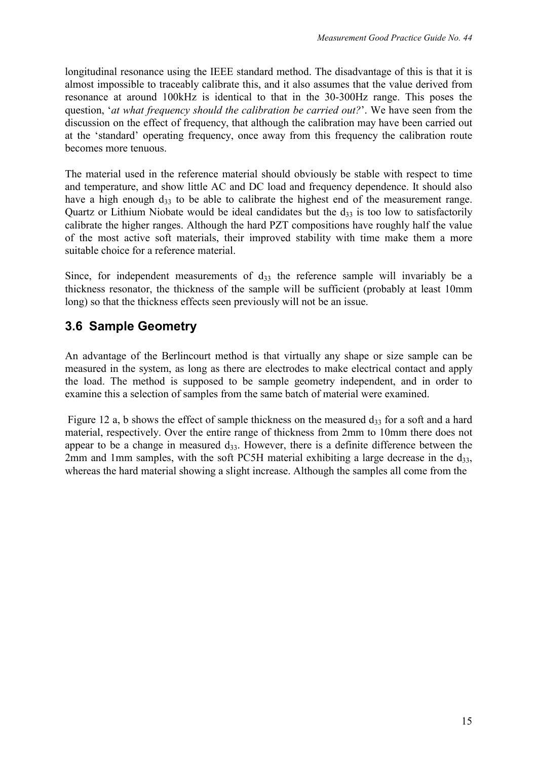<span id="page-18-0"></span>longitudinal resonance using the IEEE standard method. The disadvantage of this is that it is almost impossible to traceably calibrate this, and it also assumes that the value derived from resonance at around 100kHz is identical to that in the 30-300Hz range. This poses the question, '*at what frequency should the calibration be carried out?*'. We have seen from the discussion on the effect of frequency, that although the calibration may have been carried out at the 'standard' operating frequency, once away from this frequency the calibration route becomes more tenuous.

The material used in the reference material should obviously be stable with respect to time and temperature, and show little AC and DC load and frequency dependence. It should also have a high enough  $d_{33}$  to be able to calibrate the highest end of the measurement range. Quartz or Lithium Niobate would be ideal candidates but the  $d_{33}$  is too low to satisfactorily calibrate the higher ranges. Although the hard PZT compositions have roughly half the value of the most active soft materials, their improved stability with time make them a more suitable choice for a reference material.

Since, for independent measurements of  $d_{33}$  the reference sample will invariably be a thickness resonator, the thickness of the sample will be sufficient (probably at least 10mm long) so that the thickness effects seen previously will not be an issue.

### **3.6 Sample Geometry**

An advantage of the Berlincourt method is that virtually any shape or size sample can be measured in the system, as long as there are electrodes to make electrical contact and apply the load. The method is supposed to be sample geometry independent, and in order to examine this a selection of samples from the same batch of material were examined.

[Figure 12](#page-19-0) a, b shows the effect of sample thickness on the measured  $d_{33}$  for a soft and a hard material, respectively. Over the entire range of thickness from 2mm to 10mm there does not appear to be a change in measured  $d_{33}$ . However, there is a definite difference between the 2mm and 1mm samples, with the soft PC5H material exhibiting a large decrease in the  $d_{33}$ , whereas the hard material showing a slight increase. Although the samples all come from the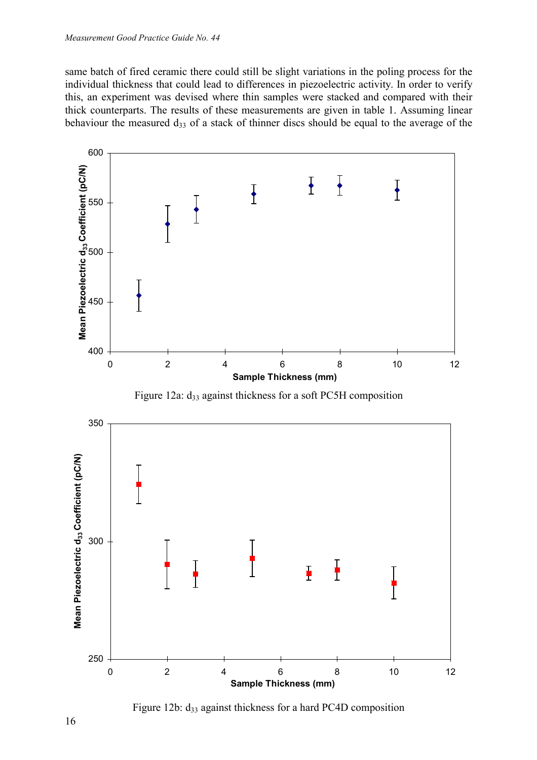same batch of fired ceramic there could still be slight variations in the poling process for the individual thickness that could lead to differences in piezoelectric activity. In order to verify this, an experiment was devised where thin samples were stacked and compared with their thick counterparts. The results of these measurements are given in table 1. Assuming linear behaviour the measured  $d_{33}$  of a stack of thinner discs should be equal to the average of the

<span id="page-19-0"></span>

Figure 12a: d<sub>33</sub> against thickness for a soft PC5H composition



Figure 12b:  $d_{33}$  against thickness for a hard PC4D composition

16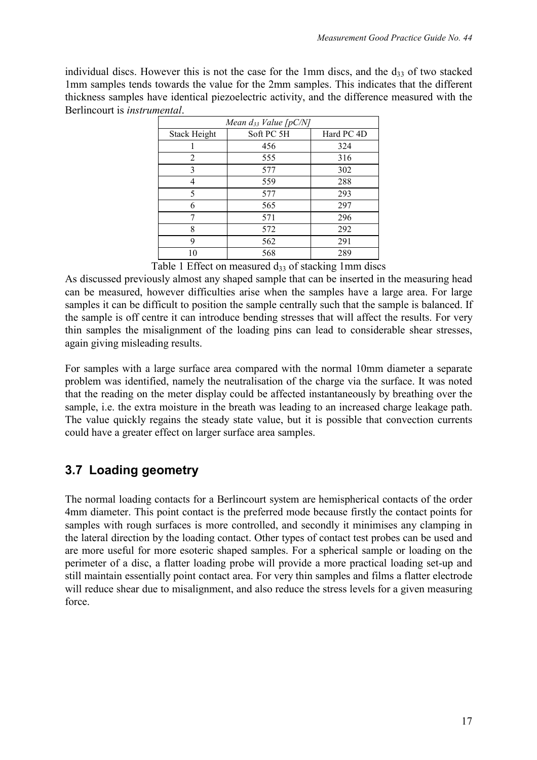<span id="page-20-0"></span>individual discs. However this is not the case for the 1mm discs, and the  $d_{33}$  of two stacked 1mm samples tends towards the value for the 2mm samples. This indicates that the different thickness samples have identical piezoelectric activity, and the difference measured with the Berlincourt is *instrumental*.

| Mean $d_{33}$ Value [pC/N] |            |            |  |  |  |
|----------------------------|------------|------------|--|--|--|
| <b>Stack Height</b>        | Soft PC 5H | Hard PC 4D |  |  |  |
|                            | 456        | 324        |  |  |  |
| 2                          | 555        | 316        |  |  |  |
| 3                          | 577        | 302        |  |  |  |
| 4                          | 559        | 288        |  |  |  |
| 5                          | 577        | 293        |  |  |  |
| 6                          | 565        | 297        |  |  |  |
| 7                          | 571        | 296        |  |  |  |
| 8                          | 572        | 292        |  |  |  |
| 9                          | 562        | 291        |  |  |  |
| 10                         | 568        | 289        |  |  |  |

Table 1 Effect on measured  $d_{33}$  of stacking 1mm discs

As discussed previously almost any shaped sample that can be inserted in the measuring head can be measured, however difficulties arise when the samples have a large area. For large samples it can be difficult to position the sample centrally such that the sample is balanced. If the sample is off centre it can introduce bending stresses that will affect the results. For very thin samples the misalignment of the loading pins can lead to considerable shear stresses, again giving misleading results.

For samples with a large surface area compared with the normal 10mm diameter a separate problem was identified, namely the neutralisation of the charge via the surface. It was noted that the reading on the meter display could be affected instantaneously by breathing over the sample, i.e. the extra moisture in the breath was leading to an increased charge leakage path. The value quickly regains the steady state value, but it is possible that convection currents could have a greater effect on larger surface area samples.

### **3.7 Loading geometry**

The normal loading contacts for a Berlincourt system are hemispherical contacts of the order 4mm diameter. This point contact is the preferred mode because firstly the contact points for samples with rough surfaces is more controlled, and secondly it minimises any clamping in the lateral direction by the loading contact. Other types of contact test probes can be used and are more useful for more esoteric shaped samples. For a spherical sample or loading on the perimeter of a disc, a flatter loading probe will provide a more practical loading set-up and still maintain essentially point contact area. For very thin samples and films a flatter electrode will reduce shear due to misalignment, and also reduce the stress levels for a given measuring force.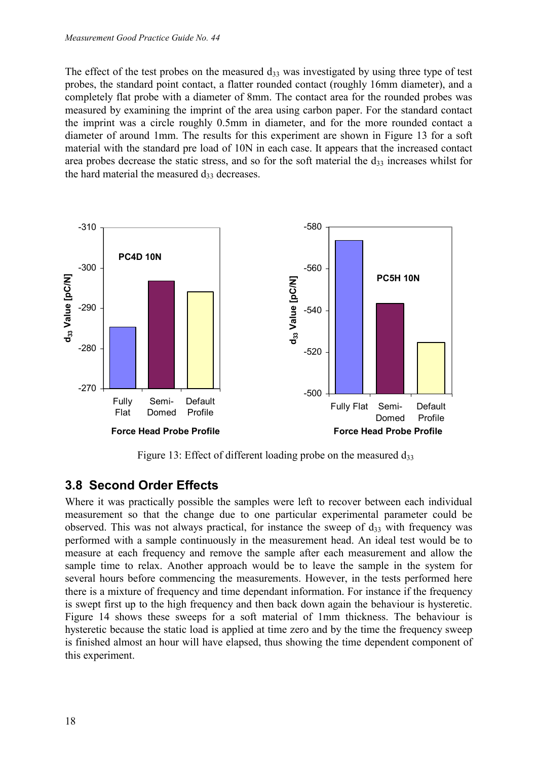<span id="page-21-0"></span>The effect of the test probes on the measured  $d_{33}$  was investigated by using three type of test probes, the standard point contact, a flatter rounded contact (roughly 16mm diameter), and a completely flat probe with a diameter of 8mm. The contact area for the rounded probes was measured by examining the imprint of the area using carbon paper. For the standard contact the imprint was a circle roughly 0.5mm in diameter, and for the more rounded contact a diameter of around 1mm. The results for this experiment are shown in [Figure 13](#page-21-1) for a soft material with the standard pre load of 10N in each case. It appears that the increased contact area probes decrease the static stress, and so for the soft material the  $d_{33}$  increases whilst for the hard material the measured  $d_{33}$  decreases.

<span id="page-21-1"></span>

Figure 13: Effect of different loading probe on the measured d<sub>33</sub>

### **3.8 Second Order Effects**

Where it was practically possible the samples were left to recover between each individual measurement so that the change due to one particular experimental parameter could be observed. This was not always practical, for instance the sweep of  $d_{33}$  with frequency was performed with a sample continuously in the measurement head. An ideal test would be to measure at each frequency and remove the sample after each measurement and allow the sample time to relax. Another approach would be to leave the sample in the system for several hours before commencing the measurements. However, in the tests performed here there is a mixture of frequency and time dependant information. For instance if the frequency is swept first up to the high frequency and then back down again the behaviour is hysteretic. [Figure 14](#page-22-1) shows these sweeps for a soft material of 1mm thickness. The behaviour is hysteretic because the static load is applied at time zero and by the time the frequency sweep is finished almost an hour will have elapsed, thus showing the time dependent component of this experiment.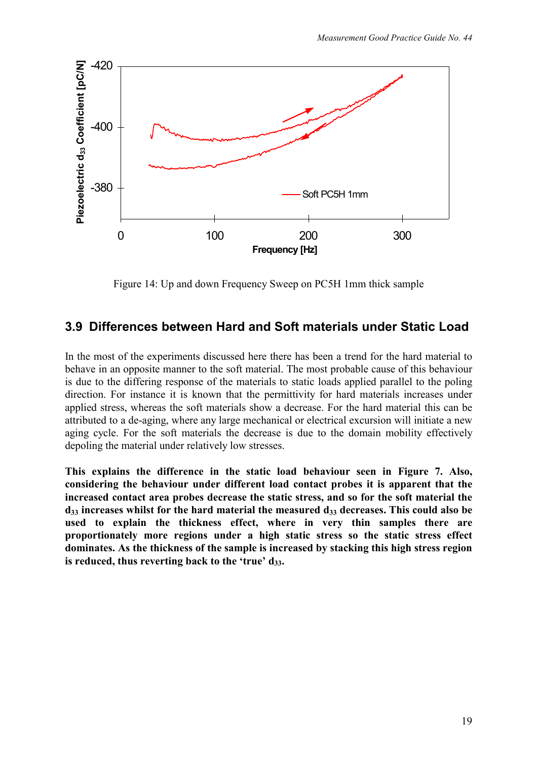<span id="page-22-1"></span><span id="page-22-0"></span>

Figure 14: Up and down Frequency Sweep on PC5H 1mm thick sample

#### **3.9 Differences between Hard and Soft materials under Static Load**

In the most of the experiments discussed here there has been a trend for the hard material to behave in an opposite manner to the soft material. The most probable cause of this behaviour is due to the differing response of the materials to static loads applied parallel to the poling direction. For instance it is known that the permittivity for hard materials increases under applied stress, whereas the soft materials show a decrease. For the hard material this can be attributed to a de-aging, where any large mechanical or electrical excursion will initiate a new aging cycle. For the soft materials the decrease is due to the domain mobility effectively depoling the material under relatively low stresses.

**This explains the difference in the static load behaviour seen in [Figure 7.](#page-14-0) Also, considering the behaviour under different load contact probes it is apparent that the increased contact area probes decrease the static stress, and so for the soft material the d33 increases whilst for the hard material the measured d33 decreases. This could also be used to explain the thickness effect, where in very thin samples there are proportionately more regions under a high static stress so the static stress effect dominates. As the thickness of the sample is increased by stacking this high stress region** is reduced, thus reverting back to the 'true' d<sub>33</sub>.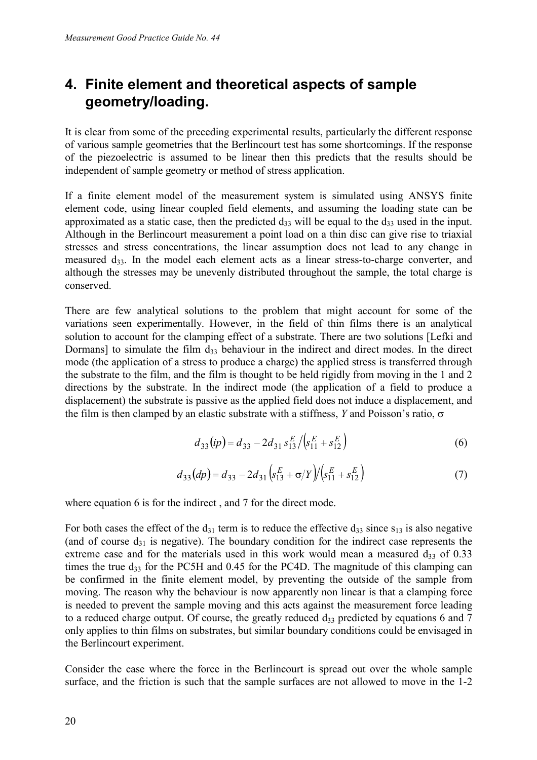## <span id="page-23-0"></span>**4. Finite element and theoretical aspects of sample geometry/loading.**

It is clear from some of the preceding experimental results, particularly the different response of various sample geometries that the Berlincourt test has some shortcomings. If the response of the piezoelectric is assumed to be linear then this predicts that the results should be independent of sample geometry or method of stress application.

If a finite element model of the measurement system is simulated using ANSYS finite element code, using linear coupled field elements, and assuming the loading state can be approximated as a static case, then the predicted  $d_{33}$  will be equal to the  $d_{33}$  used in the input. Although in the Berlincourt measurement a point load on a thin disc can give rise to triaxial stresses and stress concentrations, the linear assumption does not lead to any change in measured  $d_{33}$ . In the model each element acts as a linear stress-to-charge converter, and although the stresses may be unevenly distributed throughout the sample, the total charge is conserved.

There are few analytical solutions to the problem that might account for some of the variations seen experimentally. However, in the field of thin films there is an analytical solution to account for the clamping effect of a substrate. There are two solutions [Lefki and Dormans] to simulate the film  $d_{33}$  behaviour in the indirect and direct modes. In the direct mode (the application of a stress to produce a charge) the applied stress is transferred through the substrate to the film, and the film is thought to be held rigidly from moving in the 1 and 2 directions by the substrate. In the indirect mode (the application of a field to produce a displacement) the substrate is passive as the applied field does not induce a displacement, and the film is then clamped by an elastic substrate with a stiffness, Y and Poisson's ratio,  $\sigma$ 

$$
d_{33}(ip) = d_{33} - 2d_{31} s_{13}^E / \left( s_{11}^E + s_{12}^E \right)
$$
 (6)

$$
d_{33}(dp) = d_{33} - 2d_{31}\left(s_{13}^{E} + \sigma/Y\right) / \left(s_{11}^{E} + s_{12}^{E}\right)
$$
\n(7)

where equation 6 is for the indirect , and 7 for the direct mode.

For both cases the effect of the  $d_{31}$  term is to reduce the effective  $d_{33}$  since  $s_{13}$  is also negative (and of course  $d_{31}$  is negative). The boundary condition for the indirect case represents the extreme case and for the materials used in this work would mean a measured  $d_{33}$  of 0.33 times the true  $d_{33}$  for the PC5H and 0.45 for the PC4D. The magnitude of this clamping can be confirmed in the finite element model, by preventing the outside of the sample from moving. The reason why the behaviour is now apparently non linear is that a clamping force is needed to prevent the sample moving and this acts against the measurement force leading to a reduced charge output. Of course, the greatly reduced  $d_{33}$  predicted by equations 6 and 7 only applies to thin films on substrates, but similar boundary conditions could be envisaged in the Berlincourt experiment.

Consider the case where the force in the Berlincourt is spread out over the whole sample surface, and the friction is such that the sample surfaces are not allowed to move in the 1-2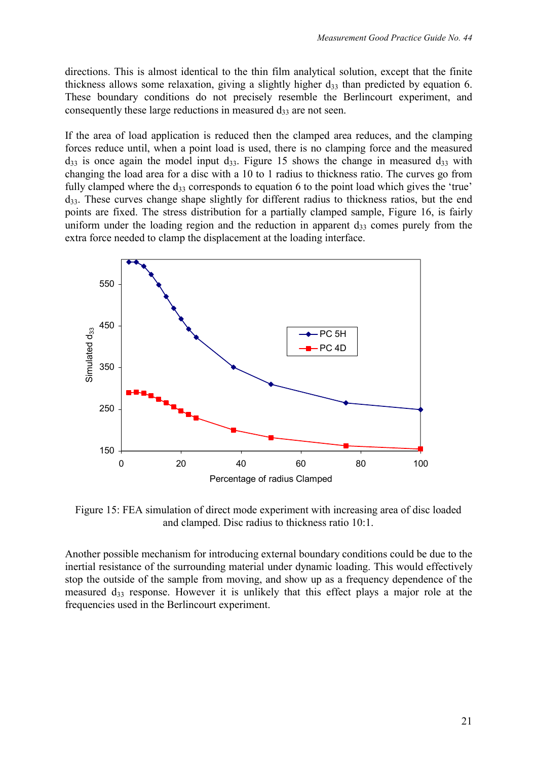directions. This is almost identical to the thin film analytical solution, except that the finite thickness allows some relaxation, giving a slightly higher  $d_{33}$  than predicted by equation 6. These boundary conditions do not precisely resemble the Berlincourt experiment, and consequently these large reductions in measured  $d_{33}$  are not seen.

If the area of load application is reduced then the clamped area reduces, and the clamping forces reduce until, when a point load is used, there is no clamping force and the measured  $d_{33}$  is once again the model input  $d_{33}$ . [Figure 15](#page-24-0) shows the change in measured  $d_{33}$  with changing the load area for a disc with a 10 to 1 radius to thickness ratio. The curves go from fully clamped where the  $d_{33}$  corresponds to equation 6 to the point load which gives the 'true' d33. These curves change shape slightly for different radius to thickness ratios, but the end points are fixed. The stress distribution for a partially clamped sample, [Figure 16,](#page-25-1) is fairly uniform under the loading region and the reduction in apparent  $d_{33}$  comes purely from the extra force needed to clamp the displacement at the loading interface.

<span id="page-24-0"></span>

Figure 15: FEA simulation of direct mode experiment with increasing area of disc loaded and clamped. Disc radius to thickness ratio 10:1.

Another possible mechanism for introducing external boundary conditions could be due to the inertial resistance of the surrounding material under dynamic loading. This would effectively stop the outside of the sample from moving, and show up as a frequency dependence of the measured  $d_{33}$  response. However it is unlikely that this effect plays a major role at the frequencies used in the Berlincourt experiment.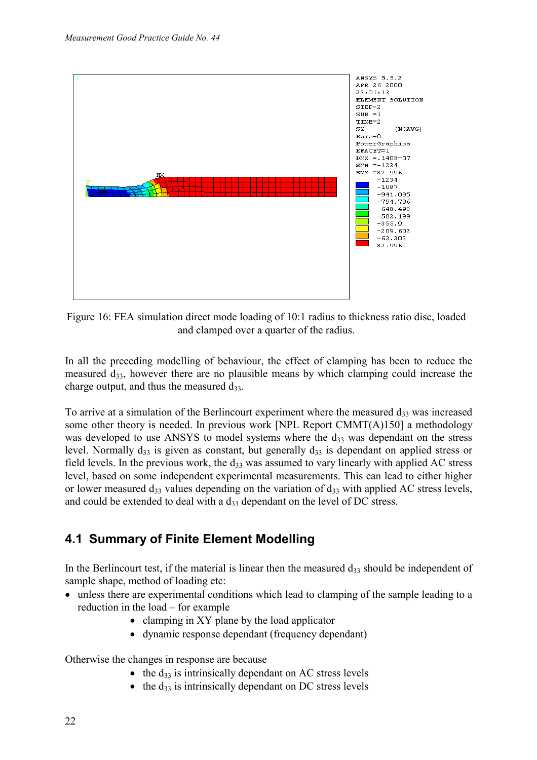<span id="page-25-1"></span><span id="page-25-0"></span>

Figure 16: FEA simulation direct mode loading of 10:1 radius to thickness ratio disc, loaded and clamped over a quarter of the radius.

In all the preceding modelling of behaviour, the effect of clamping has been to reduce the measured  $d_{33}$ , however there are no plausible means by which clamping could increase the charge output, and thus the measured  $d_{33}$ .

To arrive at a simulation of the Berlincourt experiment where the measured  $d_{33}$  was increased some other theory is needed. In previous work [NPL Report CMMT(A)150] a methodology was developed to use ANSYS to model systems where the  $d_{33}$  was dependant on the stress level. Normally  $d_{33}$  is given as constant, but generally  $d_{33}$  is dependant on applied stress or field levels. In the previous work, the  $d_{33}$  was assumed to vary linearly with applied AC stress level, based on some independent experimental measurements. This can lead to either higher or lower measured  $d_{33}$  values depending on the variation of  $d_{33}$  with applied AC stress levels, and could be extended to deal with a  $d_{33}$  dependant on the level of DC stress.

### **4.1 Summary of Finite Element Modelling**

In the Berlincourt test, if the material is linear then the measured  $d_{33}$  should be independent of sample shape, method of loading etc:

- unless there are experimental conditions which lead to clamping of the sample leading to a reduction in the load – for example
	- $\bullet$  clamping in XY plane by the load applicator
	- dynamic response dependant (frequency dependant)

Otherwise the changes in response are because

- $\bullet$  the d<sub>33</sub> is intrinsically dependant on AC stress levels
- $\bullet$  the d<sub>33</sub> is intrinsically dependant on DC stress levels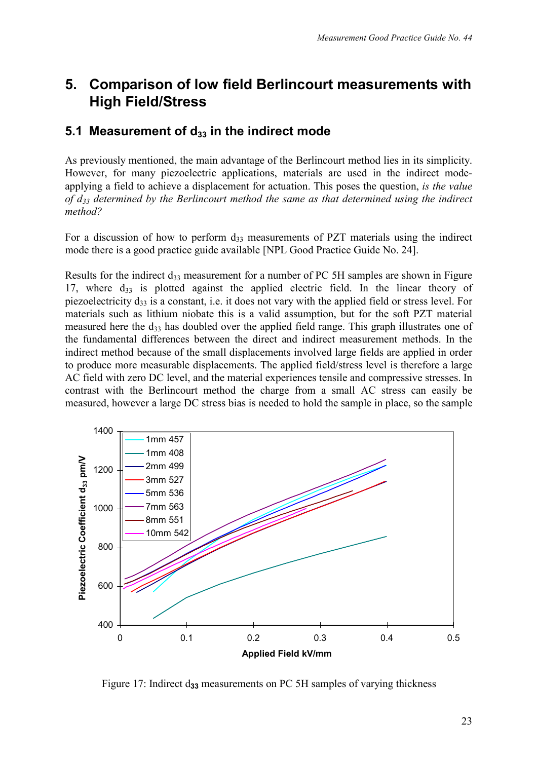## <span id="page-26-0"></span>**5. Comparison of low field Berlincourt measurements with High Field/Stress**

#### 5.1 Measurement of d<sub>33</sub> in the indirect mode

As previously mentioned, the main advantage of the Berlincourt method lies in its simplicity. However, for many piezoelectric applications, materials are used in the indirect modeapplying a field to achieve a displacement for actuation. This poses the question, *is the value of d33 determined by the Berlincourt method the same as that determined using the indirect method?*

For a discussion of how to perform  $d_{33}$  measurements of PZT materials using the indirect mode there is a good practice guide available [NPL Good Practice Guide No. 24].

Results for the indirect  $d_{33}$  measurement for a number of PC 5H samples are shown in Figure 17[,](#page-26-1) where  $d_{33}$  is plotted against the applied electric field. In the linear theory of piezoelectricity  $d_{33}$  is a constant, i.e. it does not vary with the applied field or stress level. For materials such as lithium niobate this is a valid assumption, but for the soft PZT material measured here the  $d_{33}$  has doubled over the applied field range. This graph illustrates one of the fundamental differences between the direct and indirect measurement methods. In the indirect method because of the small displacements involved large fields are applied in order to produce more measurable displacements. The applied field/stress level is therefore a large AC field with zero DC level, and the material experiences tensile and compressive stresses. In contrast with the Berlincourt method the charge from a small AC stress can easily be measured, however a large DC stress bias is needed to hold the sample in place, so the sample

<span id="page-26-1"></span>

Figure 17: Indirect d**33** measurements on PC 5H samples of varying thickness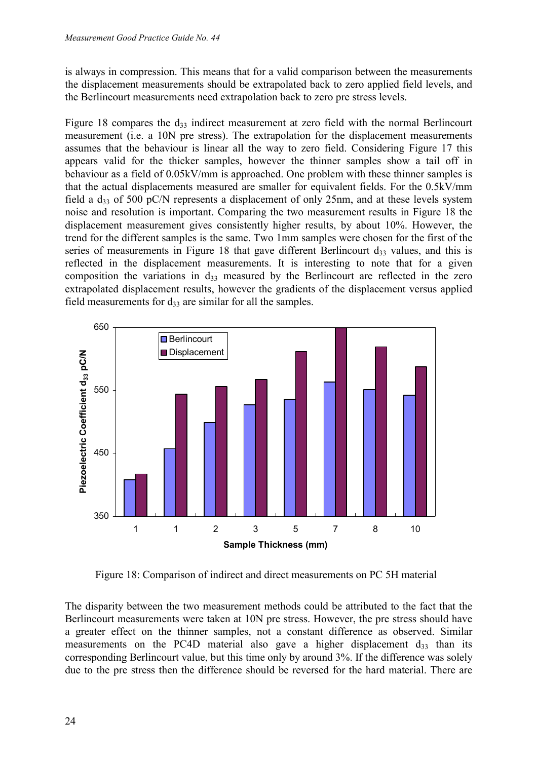is always in compression. This means that for a valid comparison between the measurements the displacement measurements should be extrapolated back to zero applied field levels, and the Berlincourt measurements need extrapolation back to zero pre stress levels.

[Figure 18](#page-27-0) compares the d<sub>33</sub> indirect measurement at zero field with the normal Berlincourt measurement (i.e. a 10N pre stress). The extrapolation for the displacement measurements assumes that the behaviour is linear all the way to zero field. Considering [Figure](#page-26-1) 17 this appears valid for the thicker samples, however the thinner samples show a tail off in behaviour as a field of 0.05kV/mm is approached. One problem with these thinner samples is that the actual displacements measured are smaller for equivalent fields. For the 0.5kV/mm field a  $d_{33}$  of 500 pC/N represents a displacement of only 25nm, and at these levels system noise and resolution is important. Comparing the two measurement results in [Figure](#page-27-0) 18 the displacement measurement gives consistently higher results, by about 10%. However, the trend for the different samples is the same. Two 1mm samples were chosen for the first of the series of measurements in [Figure 18](#page-27-0) that gave different Berlincourt  $d_{33}$  values, and this is reflected in the displacement measurements. It is interesting to note that for a given composition the variations in  $d_{33}$  measured by the Berlincourt are reflected in the zero extrapolated displacement results, however the gradients of the displacement versus applied field measurements for  $d_{33}$  are similar for all the samples.

<span id="page-27-0"></span>

Figure 18: Comparison of indirect and direct measurements on PC 5H material

The disparity between the two measurement methods could be attributed to the fact that the Berlincourt measurements were taken at 10N pre stress. However, the pre stress should have a greater effect on the thinner samples, not a constant difference as observed. Similar measurements on the PC4D material also gave a higher displacement  $d_{33}$  than its corresponding Berlincourt value, but this time only by around 3%. If the difference was solely due to the pre stress then the difference should be reversed for the hard material. There are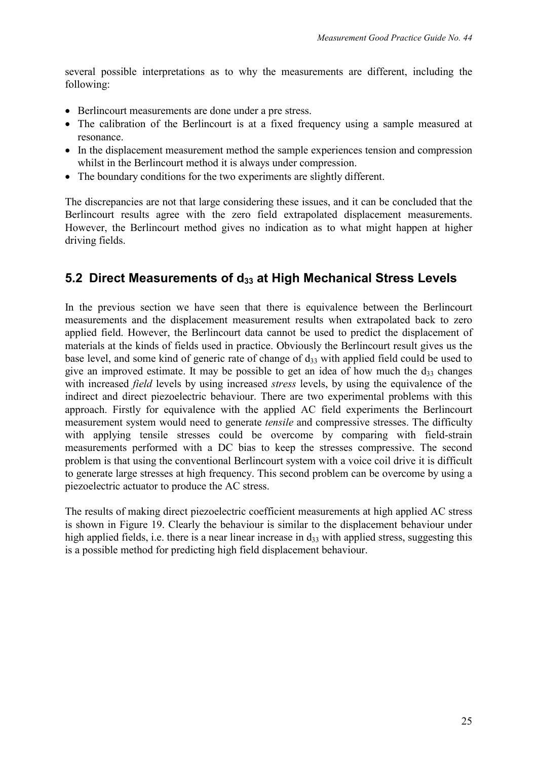<span id="page-28-0"></span>several possible interpretations as to why the measurements are different, including the following:

- Berlincourt measurements are done under a pre stress.
- The calibration of the Berlincourt is at a fixed frequency using a sample measured at resonance.
- In the displacement measurement method the sample experiences tension and compression whilst in the Berlincourt method it is always under compression.
- The boundary conditions for the two experiments are slightly different.

The discrepancies are not that large considering these issues, and it can be concluded that the Berlincourt results agree with the zero field extrapolated displacement measurements. However, the Berlincourt method gives no indication as to what might happen at higher driving fields.

### **5.2 Direct Measurements of d<sub>33</sub> at High Mechanical Stress Levels**

In the previous section we have seen that there is equivalence between the Berlincourt measurements and the displacement measurement results when extrapolated back to zero applied field. However, the Berlincourt data cannot be used to predict the displacement of materials at the kinds of fields used in practice. Obviously the Berlincourt result gives us the base level, and some kind of generic rate of change of  $d_{33}$  with applied field could be used to give an improved estimate. It may be possible to get an idea of how much the  $d_{33}$  changes with increased *field* levels by using increased *stress* levels, by using the equivalence of the indirect and direct piezoelectric behaviour. There are two experimental problems with this approach. Firstly for equivalence with the applied AC field experiments the Berlincourt measurement system would need to generate *tensile* and compressive stresses. The difficulty with applying tensile stresses could be overcome by comparing with field-strain measurements performed with a DC bias to keep the stresses compressive. The second problem is that using the conventional Berlincourt system with a voice coil drive it is difficult to generate large stresses at high frequency. This second problem can be overcome by using a piezoelectric actuator to produce the AC stress.

The results of making direct piezoelectric coefficient measurements at high applied AC stress is shown in [Figure 19.](#page-29-1) Clearly the behaviour is similar to the displacement behaviour under high applied fields, i.e. there is a near linear increase in  $d_{33}$  with applied stress, suggesting this is a possible method for predicting high field displacement behaviour.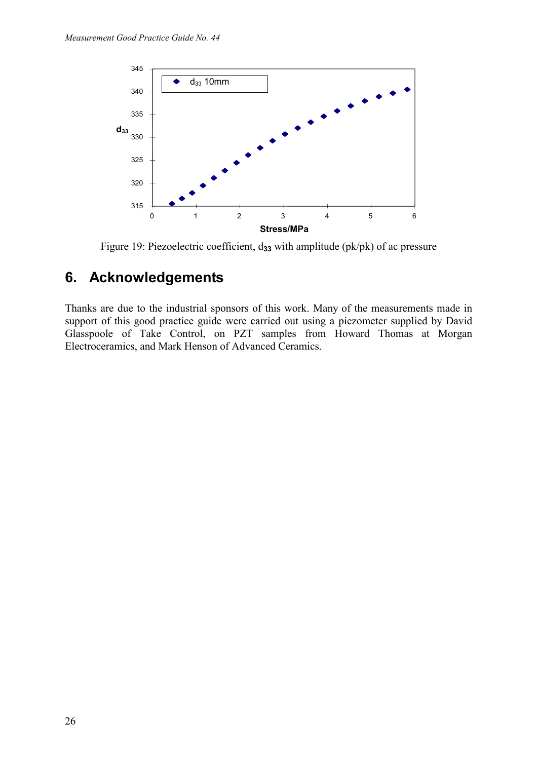<span id="page-29-1"></span><span id="page-29-0"></span>

Figure 19: Piezoelectric coefficient, d**33** with amplitude (pk/pk) of ac pressure

## **6. Acknowledgements**

Thanks are due to the industrial sponsors of this work. Many of the measurements made in support of this good practice guide were carried out using a piezometer supplied by David Glasspoole of Take Control, on PZT samples from Howard Thomas at Morgan Electroceramics, and Mark Henson of Advanced Ceramics.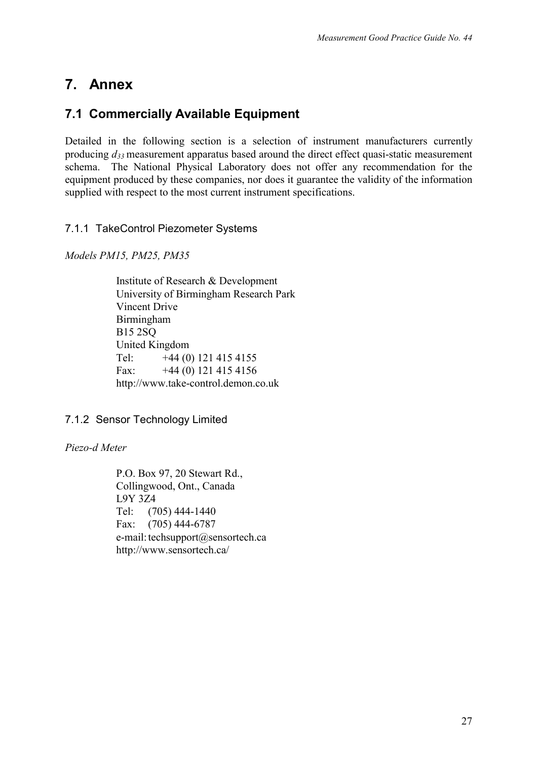## <span id="page-30-0"></span>**7. Annex**

### **7.1 Commercially Available Equipment**

Detailed in the following section is a selection of instrument manufacturers currently producing  $d_{33}$  measurement apparatus based around the direct effect quasi-static measurement schema. The National Physical Laboratory does not offer any recommendation for the equipment produced by these companies, nor does it guarantee the validity of the information supplied with respect to the most current instrument specifications.

#### 7.1.1 TakeControl Piezometer Systems

*Models PM15, PM25, PM35*

Institute of Research & Development University of Birmingham Research Park Vincent Drive Birmingham B15 2SQ United Kingdom Tel:  $+44(0)$  121 415 4155 Fax:  $+44(0)$  121 415 4156 http://www.take-control.demon.co.uk

7.1.2 Sensor Technology Limited

#### *Piezo-d Meter*

P.O. Box 97, 20 Stewart Rd., Collingwood, Ont., Canada L9Y 3Z4 Tel: (705) 444-1440 Fax: (705) 444-6787 e-mail: [techsupport@sensortech.ca](mailto:techsupport@sensortech.ca) http://www.sensortech.ca/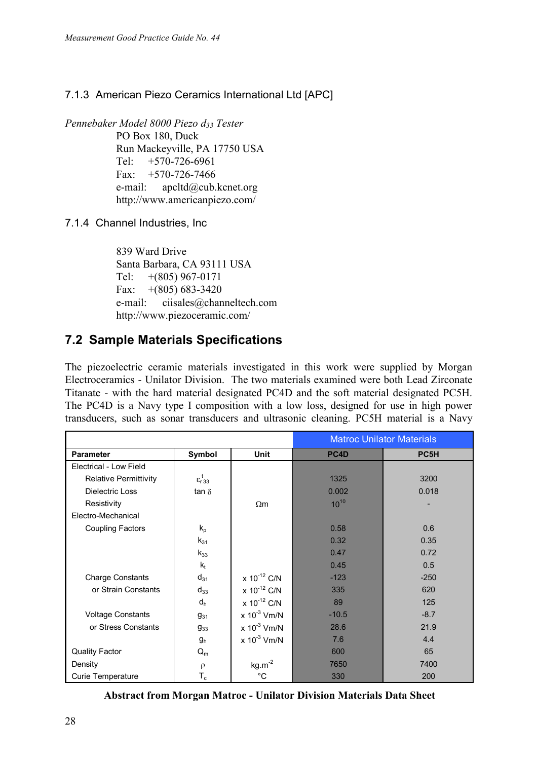<span id="page-31-0"></span>7.1.3 American Piezo Ceramics International Ltd [APC]

*Pennebaker Model 8000 Piezo d33 Tester* PO Box 180, Duck Run Mackeyville, PA 17750 USA Tel: +570-726-6961 Fax:  $+570-726-7466$ e-mail: apcltd@cub.kcnet.org http://www.americanpiezo.com/

7.1.4 Channel Industries, Inc

839 Ward Drive Santa Barbara, CA 93111 USA Tel: +(805) 967-0171 Fax:  $+(805) 683-3420$ e-mail: ciisales@channeltech.com http://www.piezoceramic.com/

### **7.2 Sample Materials Specifications**

The piezoelectric ceramic materials investigated in this work were supplied by Morgan Electroceramics - Unilator Division. The two materials examined were both Lead Zirconate Titanate - with the hard material designated PC4D and the soft material designated PC5H. The PC4D is a Navy type I composition with a low loss, designed for use in high power transducers, such as sonar transducers and ultrasonic cleaning. PC5H material is a Navy

|                              |                           |                   | <b>Matroc Unilator Materials</b> |                   |
|------------------------------|---------------------------|-------------------|----------------------------------|-------------------|
| <b>Parameter</b>             | Symbol                    | Unit              | PC4D                             | PC <sub>5</sub> H |
| Electrical - Low Field       |                           |                   |                                  |                   |
| <b>Relative Permittivity</b> | $\epsilon_{r33}^{t}$      |                   | 1325                             | 3200              |
| Dielectric Loss              | tan $\delta$              |                   | 0.002                            | 0.018             |
| Resistivity                  |                           | $\Omega$ m        | $10^{10}$                        |                   |
| Electro-Mechanical           |                           |                   |                                  |                   |
| <b>Coupling Factors</b>      | $k_{p}$                   |                   | 0.58                             | 0.6               |
|                              | $k_{31}$                  |                   | 0.32                             | 0.35              |
|                              | $k_{33}$                  |                   | 0.47                             | 0.72              |
|                              | $k_t$                     |                   | 0.45                             | 0.5               |
| <b>Charge Constants</b>      | $d_{31}$                  | $x 10^{-12}$ C/N  | $-123$                           | $-250$            |
| or Strain Constants          | $d_{33}$                  | $x 10^{-12}$ C/N  | 335                              | 620               |
|                              | $d_h$                     | $x 10^{-12}$ C/N  | 89                               | 125               |
| <b>Voltage Constants</b>     | $g_{31}$                  | $x 10^{-3}$ Vm/N  | $-10.5$                          | $-8.7$            |
| or Stress Constants          | $g_{33}$                  | $x 10^{-3}$ Vm/N  | 28.6                             | 21.9              |
|                              | g <sub>h</sub>            | $x 10^{-3}$ Vm/N  | 7.6                              | 4.4               |
| <b>Quality Factor</b>        | $\mathsf{Q}_{\mathsf{m}}$ |                   | 600                              | 65                |
| Density                      | $\rho$                    | $kg.m^{-2}$       | 7650                             | 7400              |
| Curie Temperature            | $\mathsf{T}_{\mathsf{c}}$ | $^{\circ}{\rm C}$ | 330                              | 200               |

**Abstract from Morgan Matroc - Unilator Division Materials Data Sheet**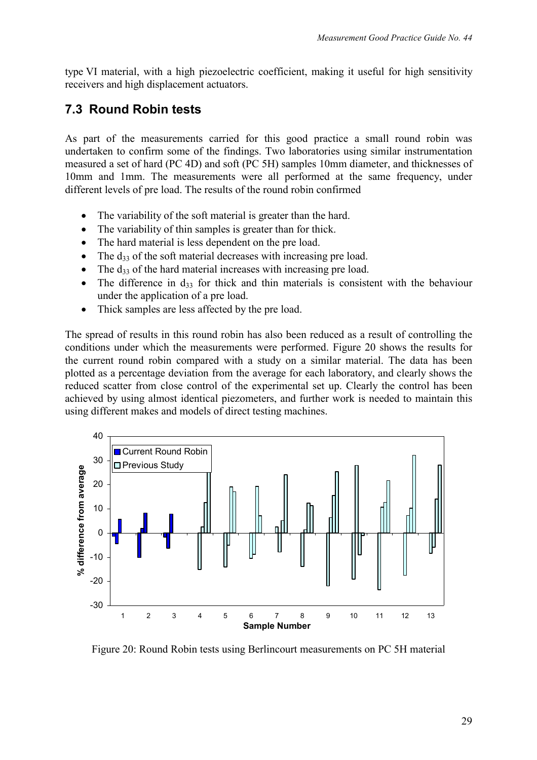<span id="page-32-0"></span>type VI material, with a high piezoelectric coefficient, making it useful for high sensitivity receivers and high displacement actuators.

### **7.3 Round Robin tests**

As part of the measurements carried for this good practice a small round robin was undertaken to confirm some of the findings. Two laboratories using similar instrumentation measured a set of hard (PC 4D) and soft (PC 5H) samples 10mm diameter, and thicknesses of 10mm and 1mm. The measurements were all performed at the same frequency, under different levels of pre load. The results of the round robin confirmed

- The variability of the soft material is greater than the hard.
- The variability of thin samples is greater than for thick.
- The hard material is less dependent on the pre load.
- $\bullet$  The d<sub>33</sub> of the soft material decreases with increasing pre load.
- The  $d_{33}$  of the hard material increases with increasing pre load.
- The difference in  $d_{33}$  for thick and thin materials is consistent with the behaviour under the application of a pre load.
- Thick samples are less affected by the pre load.

The spread of results in this round robin has also been reduced as a result of controlling the conditions under which the measurements were performed. [Figure 20](#page-32-1) shows the results for the current round robin compared with a study on a similar material. The data has been plotted as a percentage deviation from the average for each laboratory, and clearly shows the reduced scatter from close control of the experimental set up. Clearly the control has been achieved by using almost identical piezometers, and further work is needed to maintain this using different makes and models of direct testing machines.

<span id="page-32-1"></span>

Figure 20: Round Robin tests using Berlincourt measurements on PC 5H material